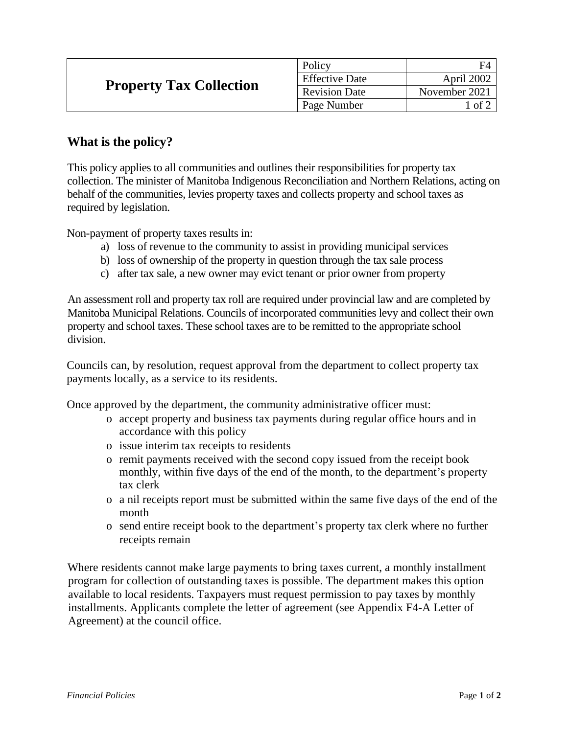| <b>Property Tax Collection</b> | Policy                | FΔ            |
|--------------------------------|-----------------------|---------------|
|                                | <b>Effective Date</b> | April 2002    |
|                                | <b>Revision Date</b>  | November 2021 |
|                                | Page Number           | of 2          |

## **What is the policy?**

This policy applies to all communities and outlines their responsibilities for property tax collection. The minister of Manitoba Indigenous Reconciliation and Northern Relations, acting on behalf of the communities, levies property taxes and collects property and school taxes as required by legislation.

Non-payment of property taxes results in:

- a) loss of revenue to the community to assist in providing municipal services
- b) loss of ownership of the property in question through the tax sale process
- c) after tax sale, a new owner may evict tenant or prior owner from property

An assessment roll and property tax roll are required under provincial law and are completed by Manitoba Municipal Relations. Councils of incorporated communities levy and collect their own property and school taxes. These school taxes are to be remitted to the appropriate school division.

Councils can, by resolution, request approval from the department to collect property tax payments locally, as a service to its residents.

Once approved by the department, the community administrative officer must:

- o accept property and business tax payments during regular office hours and in accordance with this policy
- o issue interim tax receipts to residents
- o remit payments received with the second copy issued from the receipt book monthly, within five days of the end of the month, to the department's property tax clerk
- o a nil receipts report must be submitted within the same five days of the end of the month
- o send entire receipt book to the department's property tax clerk where no further receipts remain

Where residents cannot make large payments to bring taxes current, a monthly installment program for collection of outstanding taxes is possible. The department makes this option available to local residents. Taxpayers must request permission to pay taxes by monthly installments. Applicants complete the letter of agreement (see Appendix F4-A Letter of Agreement) at the council office.